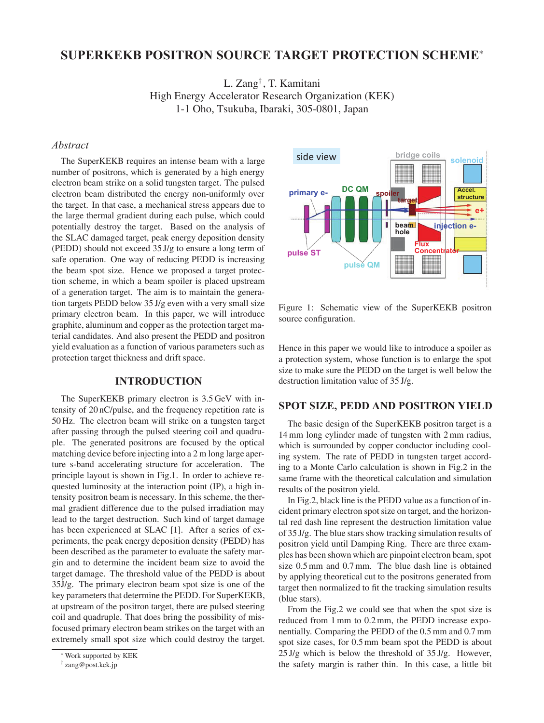# **SUPERKEKB POSITRON SOURCE TARGET PROTECTION SCHEME**<sup>∗</sup>

L. Zang† , T. Kamitani High Energy Accelerator Research Organization (KEK) 1-1 Oho, Tsukuba, Ibaraki, 305-0801, Japan

# *Abstract*

The SuperKEKB requires an intense beam with a large number of positrons, which is generated by a high energy electron beam strike on a solid tungsten target. The pulsed electron beam distributed the energy non-uniformly over the target. In that case, a mechanical stress appears due to the large thermal gradient during each pulse, which could potentially destroy the target. Based on the analysis of the SLAC damaged target, peak energy deposition density (PEDD) should not exceed 35 J/g to ensure a long term of safe operation. One way of reducing PEDD is increasing the beam spot size. Hence we proposed a target protection scheme, in which a beam spoiler is placed upstream of a generation target. The aim is to maintain the generation targets PEDD below 35 J/g even with a very small size primary electron beam. In this paper, we will introduce graphite, aluminum and copper as the protection target material candidates. And also present the PEDD and positron yield evaluation as a function of various parameters such as protection target thickness and drift space.

#### **INTRODUCTION**

The SuperKEKB primary electron is 3.5 GeV with intensity of 20 nC/pulse, and the frequency repetition rate is 50 Hz. The electron beam will strike on a tungsten target after passing through the pulsed steering coil and quadruple. The generated positrons are focused by the optical matching device before injecting into a 2 m long large aperture s-band accelerating structure for acceleration. The principle layout is shown in Fig.1. In order to achieve requested luminosity at the interaction point (IP), a high intensity positron beam is necessary. In this scheme, the thermal gradient difference due to the pulsed irradiation may lead to the target destruction. Such kind of target damage has been experienced at SLAC [1]. After a series of experiments, the peak energy deposition density (PEDD) has been described as the parameter to evaluate the safety margin and to determine the incident beam size to avoid the target damage. The threshold value of the PEDD is about  $35J/g$ . The primary electron beam spot size is one of the key parameters that determine the PEDD. For SuperKEKB, at upstream of the positron target, there are pulsed steering coil and quadruple. That does bring the possibility of misfocused primary electron beam strikes on the target with an extremely small spot size which could destroy the target.



Figure 1: Schematic view of the SuperKEKB positron source configuration.

Hence in this paper we would like to introduce a spoiler as a protection system, whose function is to enlarge the spot size to make sure the PEDD on the target is well below the destruction limitation value of 35 J/g.

# **SPOT SIZE, PEDD AND POSITRON YIELD**

The basic design of the SuperKEKB positron target is a 14 mm long cylinder made of tungsten with 2 mm radius, which is surrounded by copper conductor including cooling system. The rate of PEDD in tungsten target according to a Monte Carlo calculation is shown in Fig.2 in the same frame with the theoretical calculation and simulation results of the positron yield.

In Fig.2, black line is the PEDD value as a function of incident primary electron spot size on target, and the horizontal red dash line represent the destruction limitation value of 35 J/g. The blue stars show tracking simulation results of positron yield until Damping Ring. There are three examples has been shown which are pinpoint electron beam, spot size 0.5 mm and 0.7 mm. The blue dash line is obtained by applying theoretical cut to the positrons generated from target then normalized to fit the tracking simulation results (blue stars).

From the Fig.2 we could see that when the spot size is reduced from 1 mm to 0.2 mm, the PEDD increase exponentially. Comparing the PEDD of the 0.5 mm and 0.7 mm spot size cases, for 0.5 mm beam spot the PEDD is about 25 J/g which is below the threshold of 35 J/g. However, the safety margin is rather thin. In this case, a little bit

<sup>∗</sup>Work supported by KEK

<sup>†</sup> zang@post.kek.jp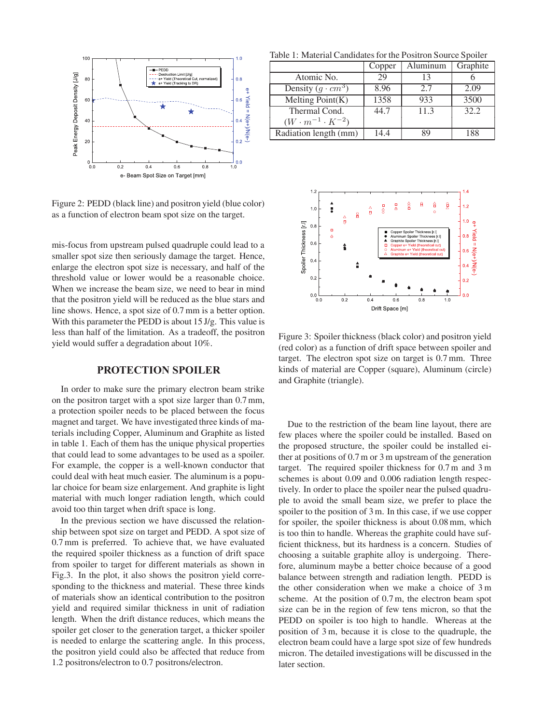

Figure 2: PEDD (black line) and positron yield (blue color) as a function of electron beam spot size on the target.

mis-focus from upstream pulsed quadruple could lead to a smaller spot size then seriously damage the target. Hence, enlarge the electron spot size is necessary, and half of the threshold value or lower would be a reasonable choice. When we increase the beam size, we need to bear in mind that the positron yield will be reduced as the blue stars and line shows. Hence, a spot size of 0.7 mm is a better option. With this parameter the PEDD is about 15 J/g. This value is less than half of the limitation. As a tradeoff, the positron yield would suffer a degradation about 10%.

#### **PROTECTION SPOILER**

In order to make sure the primary electron beam strike on the positron target with a spot size larger than 0.7 mm, a protection spoiler needs to be placed between the focus magnet and target. We have investigated three kinds of materials including Copper, Aluminum and Graphite as listed in table 1. Each of them has the unique physical properties that could lead to some advantages to be used as a spoiler. For example, the copper is a well-known conductor that could deal with heat much easier. The aluminum is a popular choice for beam size enlargement. And graphite is light material with much longer radiation length, which could avoid too thin target when drift space is long.

In the previous section we have discussed the relationship between spot size on target and PEDD. A spot size of 0.7 mm is preferred. To achieve that, we have evaluated the required spoiler thickness as a function of drift space from spoiler to target for different materials as shown in Fig.3. In the plot, it also shows the positron yield corresponding to the thickness and material. These three kinds of materials show an identical contribution to the positron yield and required similar thickness in unit of radiation length. When the drift distance reduces, which means the spoiler get closer to the generation target, a thicker spoiler is needed to enlarge the scattering angle. In this process, the positron yield could also be affected that reduce from 1.2 positrons/electron to 0.7 positrons/electron.

Table 1: Material Candidates for the Positron Source Spoiler

|                                 | Copper | Aluminum | Graphite |
|---------------------------------|--------|----------|----------|
| Atomic No.                      | 29     | 13       |          |
| Density $(g \cdot cm^3)$        | 8.96   | 2.7      | 2.09     |
| Melting $\overline{Point(K)}$   | 1358   | 933      | 3500     |
| Thermal Cond.                   | 44.7   | 11.3     | 32.2     |
| $(W \cdot m^{-1} \cdot K^{-2})$ |        |          |          |
| Radiation length (mm)           | 14.4   | 89       | 188      |



Figure 3: Spoiler thickness (black color) and positron yield (red color) as a function of drift space between spoiler and target. The electron spot size on target is 0.7 mm. Three kinds of material are Copper (square), Aluminum (circle) and Graphite (triangle).

Due to the restriction of the beam line layout, there are few places where the spoiler could be installed. Based on the proposed structure, the spoiler could be installed either at positions of 0.7 m or 3 m upstream of the generation target. The required spoiler thickness for 0.7 m and 3 m schemes is about 0.09 and 0.006 radiation length respectively. In order to place the spoiler near the pulsed quadruple to avoid the small beam size, we prefer to place the spoiler to the position of 3 m. In this case, if we use copper for spoiler, the spoiler thickness is about 0.08 mm, which is too thin to handle. Whereas the graphite could have sufficient thickness, but its hardness is a concern. Studies of choosing a suitable graphite alloy is undergoing. Therefore, aluminum maybe a better choice because of a good balance between strength and radiation length. PEDD is the other consideration when we make a choice of 3 m scheme. At the position of 0.7 m, the electron beam spot size can be in the region of few tens micron, so that the PEDD on spoiler is too high to handle. Whereas at the position of 3 m, because it is close to the quadruple, the electron beam could have a large spot size of few hundreds micron. The detailed investigations will be discussed in the later section.